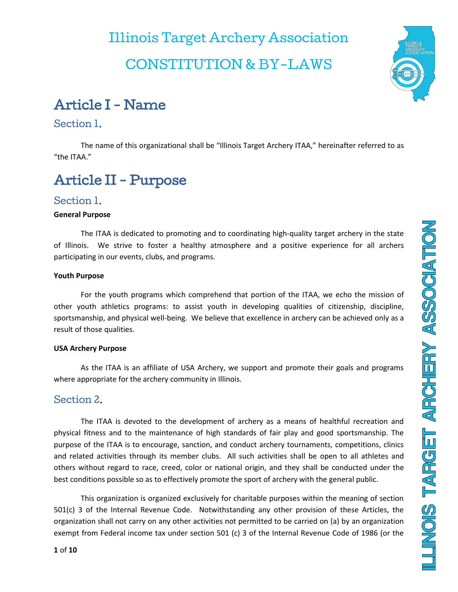# Illinois Target Archery Association CONSTITUTION & BY-LAWS



### Article I - Name

#### Section 1.

The name of this organizational shall be "Illinois Target Archery ITAA," hereinafter referred to as "the ITAA."

### Article II - Purpose

### Section 1.

#### **General Purpose**

The ITAA is dedicated to promoting and to coordinating high-quality target archery in the state of Illinois. We strive to foster a healthy atmosphere and a positive experience for all archers participating in our events, clubs, and programs.

#### **Youth Purpose**

For the youth programs which comprehend that portion of the ITAA, we echo the mission of other youth athletics programs: to assist youth in developing qualities of citizenship, discipline, sportsmanship, and physical well-being. We believe that excellence in archery can be achieved only as a result of those qualities.

#### **USA Archery Purpose**

As the ITAA is an affiliate of USA Archery, we support and promote their goals and programs where appropriate for the archery community in Illinois.

### Section 2.

The ITAA is devoted to the development of archery as a means of healthful recreation and physical fitness and to the maintenance of high standards of fair play and good sportsmanship. The purpose of the ITAA is to encourage, sanction, and conduct archery tournaments, competitions, clinics and related activities through its member clubs. All such activities shall be open to all athletes and others without regard to race, creed, color or national origin, and they shall be conducted under the best conditions possible so as to effectively promote the sport of archery with the general public.

This organization is organized exclusively for charitable purposes within the meaning of section 501(c) 3 of the Internal Revenue Code. Notwithstanding any other provision of these Articles, the organization shall not carry on any other activities not permitted to be carried on (a) by an organization exempt from Federal income tax under section 501 (c) 3 of the Internal Revenue Code of 1986 (or the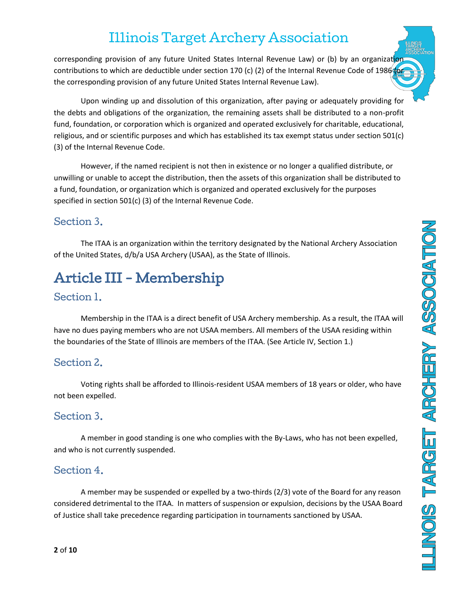corresponding provision of any future United States Internal Revenue Law) or (b) by an organization contributions to which are deductible under section 170 (c) (2) of the Internal Revenue Code of 1986 (or the corresponding provision of any future United States Internal Revenue Law).

Upon winding up and dissolution of this organization, after paying or adequately providing for the debts and obligations of the organization, the remaining assets shall be distributed to a non-profit fund, foundation, or corporation which is organized and operated exclusively for charitable, educational, religious, and or scientific purposes and which has established its tax exempt status under section 501(c) (3) of the Internal Revenue Code.

However, if the named recipient is not then in existence or no longer a qualified distribute, or unwilling or unable to accept the distribution, then the assets of this organization shall be distributed to a fund, foundation, or organization which is organized and operated exclusively for the purposes specified in section 501(c) (3) of the Internal Revenue Code.

### Section 3.

The ITAA is an organization within the territory designated by the National Archery Association of the United States, d/b/a USA Archery (USAA), as the State of Illinois.

# Article III - Membership

### Section 1.

Membership in the ITAA is a direct benefit of USA Archery membership. As a result, the ITAA will have no dues paying members who are not USAA members. All members of the USAA residing within the boundaries of the State of Illinois are members of the ITAA. (See Article IV, Section 1.)

### Section 2.

Voting rights shall be afforded to Illinois-resident USAA members of 18 years or older, who have not been expelled.

### Section 3.

A member in good standing is one who complies with the By-Laws, who has not been expelled, and who is not currently suspended.

### Section 4.

A member may be suspended or expelled by a two-thirds (2/3) vote of the Board for any reason considered detrimental to the ITAA. In matters of suspension or expulsion, decisions by the USAA Board of Justice shall take precedence regarding participation in tournaments sanctioned by USAA.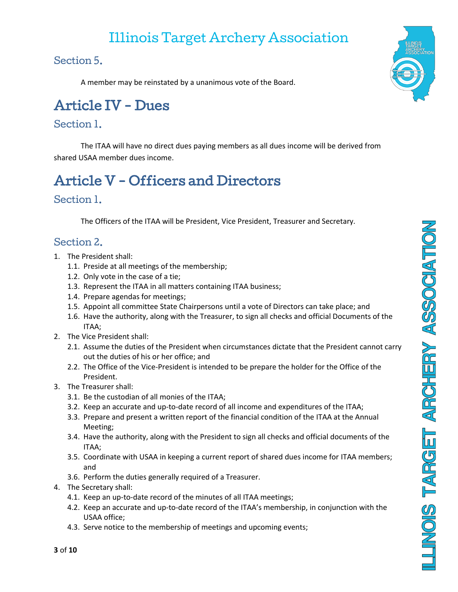Section 5.

A member may be reinstated by a unanimous vote of the Board.

# Article IV - Dues

### Section 1.

The ITAA will have no direct dues paying members as all dues income will be derived from shared USAA member dues income.

# Article V - Officers and Directors

### Section 1.

The Officers of the ITAA will be President, Vice President, Treasurer and Secretary.

### Section 2.

- 1. The President shall:
	- 1.1. Preside at all meetings of the membership;
	- 1.2. Only vote in the case of a tie;
	- 1.3. Represent the ITAA in all matters containing ITAA business;
	- 1.4. Prepare agendas for meetings;
	- 1.5. Appoint all committee State Chairpersons until a vote of Directors can take place; and
	- 1.6. Have the authority, along with the Treasurer, to sign all checks and official Documents of the ITAA;
- 2. The Vice President shall:
	- 2.1. Assume the duties of the President when circumstances dictate that the President cannot carry out the duties of his or her office; and
	- 2.2. The Office of the Vice-President is intended to be prepare the holder for the Office of the President.
- 3. The Treasurer shall:
	- 3.1. Be the custodian of all monies of the ITAA;
	- 3.2. Keep an accurate and up-to-date record of all income and expenditures of the ITAA;
	- 3.3. Prepare and present a written report of the financial condition of the ITAA at the Annual Meeting;
	- 3.4. Have the authority, along with the President to sign all checks and official documents of the ITAA;
	- 3.5. Coordinate with USAA in keeping a current report of shared dues income for ITAA members; and
	- 3.6. Perform the duties generally required of a Treasurer.
- 4. The Secretary shall:
	- 4.1. Keep an up-to-date record of the minutes of all ITAA meetings;
	- 4.2. Keep an accurate and up-to-date record of the ITAA's membership, in conjunction with the USAA office;
	- 4.3. Serve notice to the membership of meetings and upcoming events;

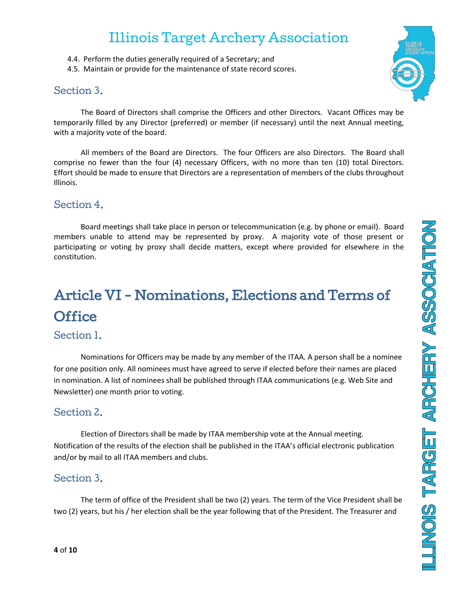- 4.4. Perform the duties generally required of a Secretary; and
- 4.5. Maintain or provide for the maintenance of state record scores.

### Section 3.



The Board of Directors shall comprise the Officers and other Directors. Vacant Offices may be temporarily filled by any Director (preferred) or member (if necessary) until the next Annual meeting, with a majority vote of the board.

All members of the Board are Directors. The four Officers are also Directors. The Board shall comprise no fewer than the four (4) necessary Officers, with no more than ten (10) total Directors. Effort should be made to ensure that Directors are a representation of members of the clubs throughout Illinois.

### Section 4.

Board meetings shall take place in person or telecommunication (e.g. by phone or email). Board members unable to attend may be represented by proxy. A majority vote of those present or participating or voting by proxy shall decide matters, except where provided for elsewhere in the constitution.

# Article VI - Nominations, Elections and Terms of **Office**

### Section 1.

Nominations for Officers may be made by any member of the ITAA. A person shall be a nominee for one position only. All nominees must have agreed to serve if elected before their names are placed in nomination. A list of nominees shall be published through ITAA communications (e.g. Web Site and Newsletter) one month prior to voting.

### Section 2.

Election of Directors shall be made by ITAA membership vote at the Annual meeting. Notification of the results of the election shall be published in the ITAA's official electronic publication and/or by mail to all ITAA members and clubs.

### Section 3.

The term of office of the President shall be two (2) years. The term of the Vice President shall be two (2) years, but his / her election shall be the year following that of the President. The Treasurer and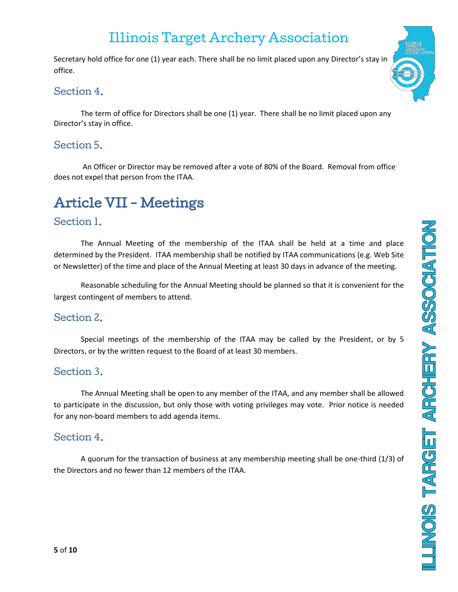Secretary hold office for one (1) year each. There shall be no limit placed upon any Director's stay in office.

### Section 4.

The term of office for Directors shall be one (1) year. There shall be no limit placed upon any Director's stay in office.

### Section 5.

An Officer or Director may be removed after a vote of 80% of the Board. Removal from office does not expel that person from the ITAA.

# Article VII - Meetings

### Section 1.

The Annual Meeting of the membership of the ITAA shall be held at a time and place determined by the President. ITAA membership shall be notified by ITAA communications (e.g. Web Site or Newsletter) of the time and place of the Annual Meeting at least 30 days in advance of the meeting.

Reasonable scheduling for the Annual Meeting should be planned so that it is convenient for the largest contingent of members to attend.

### Section 2.

Special meetings of the membership of the ITAA may be called by the President, or by 5 Directors, or by the written request to the Board of at least 30 members.

### Section 3.

The Annual Meeting shall be open to any member of the ITAA, and any member shall be allowed to participate in the discussion, but only those with voting privileges may vote. Prior notice is needed for any non-board members to add agenda items.

### Section 4.

A quorum for the transaction of business at any membership meeting shall be one-third (1/3) of the Directors and no fewer than 12 members of the ITAA.

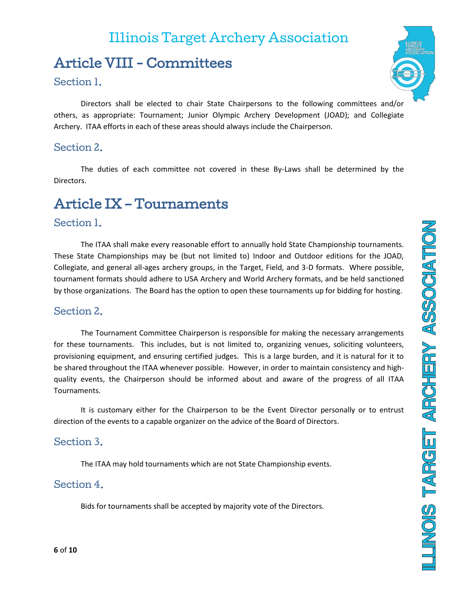### Article VIII - Committees

#### Section 1.

Directors shall be elected to chair State Chairpersons to the following committees and/or others, as appropriate: Tournament; Junior Olympic Archery Development (JOAD); and Collegiate Archery. ITAA efforts in each of these areas should always include the Chairperson.

### Section 2.

The duties of each committee not covered in these By-Laws shall be determined by the Directors.

### Article IX – Tournaments

#### Section 1.

The ITAA shall make every reasonable effort to annually hold State Championship tournaments. These State Championships may be (but not limited to) Indoor and Outdoor editions for the JOAD, Collegiate, and general all-ages archery groups, in the Target, Field, and 3-D formats. Where possible, tournament formats should adhere to USA Archery and World Archery formats, and be held sanctioned by those organizations. The Board has the option to open these tournaments up for bidding for hosting.

### Section 2.

The Tournament Committee Chairperson is responsible for making the necessary arrangements for these tournaments. This includes, but is not limited to, organizing venues, soliciting volunteers, provisioning equipment, and ensuring certified judges. This is a large burden, and it is natural for it to be shared throughout the ITAA whenever possible. However, in order to maintain consistency and highquality events, the Chairperson should be informed about and aware of the progress of all ITAA Tournaments.

It is customary either for the Chairperson to be the Event Director personally or to entrust direction of the events to a capable organizer on the advice of the Board of Directors.

#### Section 3.

The ITAA may hold tournaments which are not State Championship events.

#### Section 4.

Bids for tournaments shall be accepted by majority vote of the Directors.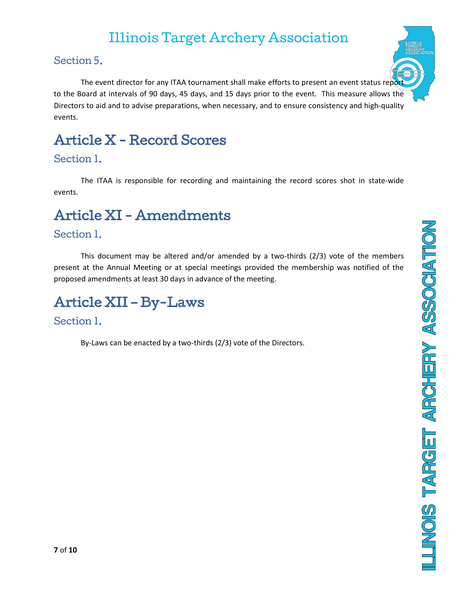### Section 5.

The event director for any ITAA tournament shall make efforts to present an event status report to the Board at intervals of 90 days, 45 days, and 15 days prior to the event. This measure allows the Directors to aid and to advise preparations, when necessary, and to ensure consistency and high-quality events.

### Article X - Record Scores

### Section 1.

The ITAA is responsible for recording and maintaining the record scores shot in state-wide events.

### Article XI - Amendments

### Section 1.

This document may be altered and/or amended by a two-thirds (2/3) vote of the members present at the Annual Meeting or at special meetings provided the membership was notified of the proposed amendments at least 30 days in advance of the meeting.

### Article XII – By-Laws

### Section 1.

By-Laws can be enacted by a two-thirds (2/3) vote of the Directors.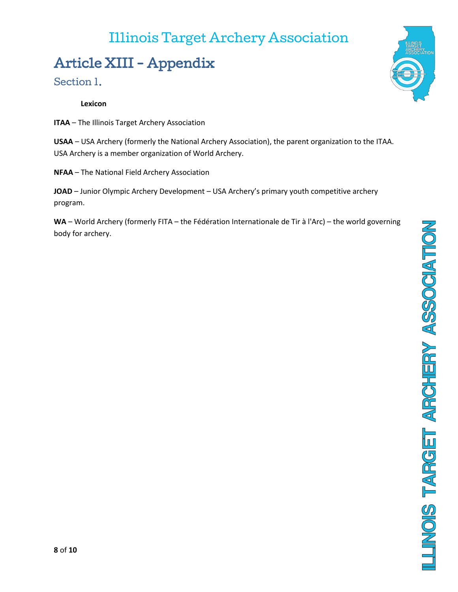# Article XIII - Appendix

#### Section 1.

#### **Lexicon**

**ITAA** – The Illinois Target Archery Association

**USAA** – USA Archery (formerly the National Archery Association), the parent organization to the ITAA. USA Archery is a member organization of World Archery.

**NFAA** – The National Field Archery Association

**JOAD** – Junior Olympic Archery Development – USA Archery's primary youth competitive archery program.

**WA** – World Archery (formerly FITA – the Fédération Internationale de Tir à l'Arc) – the world governing body for archery.

LUNOIS TARGET ARCHERY ASSOCIATION

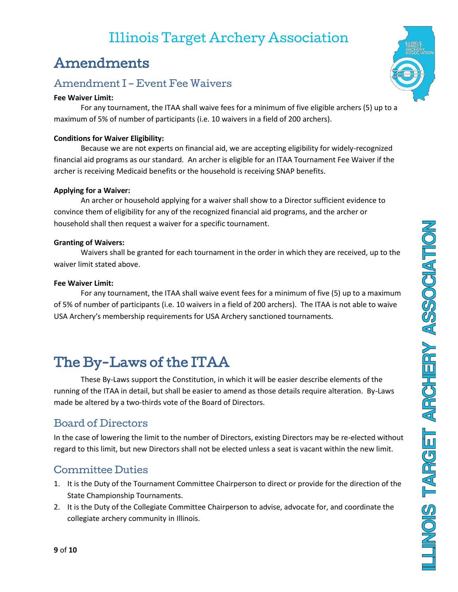### Amendments

### Amendment I – Event Fee Waivers

#### **Fee Waiver Limit:**

For any tournament, the ITAA shall waive fees for a minimum of five eligible archers (5) up to a maximum of 5% of number of participants (i.e. 10 waivers in a field of 200 archers).

#### **Conditions for Waiver Eligibility:**

Because we are not experts on financial aid, we are accepting eligibility for widely-recognized financial aid programs as our standard. An archer is eligible for an ITAA Tournament Fee Waiver if the archer is receiving Medicaid benefits or the household is receiving SNAP benefits.

#### **Applying for a Waiver:**

An archer or household applying for a waiver shall show to a Director sufficient evidence to convince them of eligibility for any of the recognized financial aid programs, and the archer or household shall then request a waiver for a specific tournament.

#### **Granting of Waivers:**

Waivers shall be granted for each tournament in the order in which they are received, up to the waiver limit stated above.

#### **Fee Waiver Limit:**

For any tournament, the ITAA shall waive event fees for a minimum of five (5) up to a maximum of 5% of number of participants (i.e. 10 waivers in a field of 200 archers). The ITAA is not able to waive USA Archery's membership requirements for USA Archery sanctioned tournaments.

### The By-Laws of the ITAA

These By-Laws support the Constitution, in which it will be easier describe elements of the running of the ITAA in detail, but shall be easier to amend as those details require alteration. By-Laws made be altered by a two-thirds vote of the Board of Directors.

### Board of Directors

In the case of lowering the limit to the number of Directors, existing Directors may be re-elected without regard to this limit, but new Directors shall not be elected unless a seat is vacant within the new limit.

### Committee Duties

- 1. It is the Duty of the Tournament Committee Chairperson to direct or provide for the direction of the State Championship Tournaments.
- 2. It is the Duty of the Collegiate Committee Chairperson to advise, advocate for, and coordinate the collegiate archery community in Illinois.